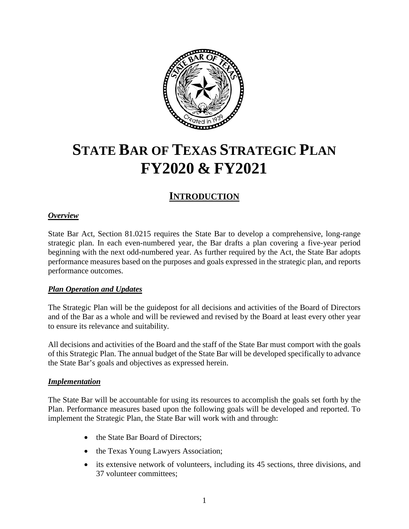

# **STATE BAR OF TEXAS STRATEGIC PLAN FY2020 & FY2021**

# **INTRODUCTION**

## *Overview*

State Bar Act, Section 81.0215 requires the State Bar to develop a comprehensive, long-range strategic plan. In each even-numbered year, the Bar drafts a plan covering a five-year period beginning with the next odd-numbered year. As further required by the Act, the State Bar adopts performance measures based on the purposes and goals expressed in the strategic plan, and reports performance outcomes.

## *Plan Operation and Updates*

The Strategic Plan will be the guidepost for all decisions and activities of the Board of Directors and of the Bar as a whole and will be reviewed and revised by the Board at least every other year to ensure its relevance and suitability.

All decisions and activities of the Board and the staff of the State Bar must comport with the goals of this Strategic Plan. The annual budget of the State Bar will be developed specifically to advance the State Bar's goals and objectives as expressed herein.

## *Implementation*

The State Bar will be accountable for using its resources to accomplish the goals set forth by the Plan. Performance measures based upon the following goals will be developed and reported. To implement the Strategic Plan, the State Bar will work with and through:

- the State Bar Board of Directors:
- the Texas Young Lawyers Association;
- its extensive network of volunteers, including its 45 sections, three divisions, and 37 volunteer committees;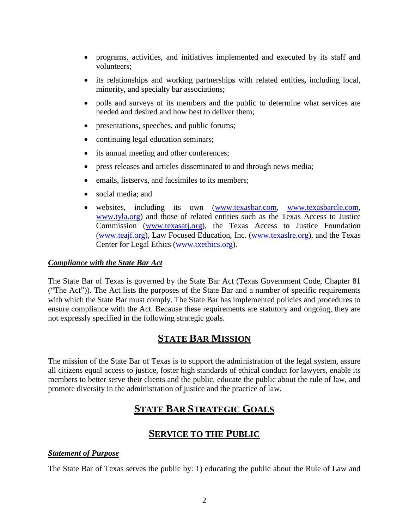- programs, activities, and initiatives implemented and executed by its staff and volunteers;
- its relationships and working partnerships with related entities**,** including local, minority, and specialty bar associations;
- polls and surveys of its members and the public to determine what services are needed and desired and how best to deliver them;
- presentations, speeches, and public forums;
- continuing legal education seminars;
- its annual meeting and other conferences;
- press releases and articles disseminated to and through news media;
- emails, listservs, and facsimiles to its members;
- social media: and
- websites, including its own [\(www.texasbar.com,](http://www.texasbar.com/) [www.texasbarcle.com,](http://www.texasbarcle.com/) [www.tyla.org\)](http://www.tyla.org/) and those of related entities such as the Texas Access to Justice Commission [\(www.texasatj.org\)](http://www.texasatj.org/), the Texas Access to Justice Foundation [\(www.teajf.org\)](http://www.teajf.org/), Law Focused Education, Inc. [\(www.texaslre.org\)](http://www.texaslre.org/), and the Texas Center for Legal Ethics [\(www.txethics.org\)](http://www.txethics.org/).

#### *Compliance with the State Bar Act*

The State Bar of Texas is governed by the State Bar Act (Texas Government Code, Chapter 81 ("The Act")). The Act lists the purposes of the State Bar and a number of specific requirements with which the State Bar must comply. The State Bar has implemented policies and procedures to ensure compliance with the Act. Because these requirements are statutory and ongoing, they are not expressly specified in the following strategic goals.

# **STATE BAR MISSION**

The mission of the State Bar of Texas is to support the administration of the legal system, assure all citizens equal access to justice, foster high standards of ethical conduct for lawyers, enable its members to better serve their clients and the public, educate the public about the rule of law, and promote diversity in the administration of justice and the practice of law.

# **STATE BAR STRATEGIC GOALS**

## **SERVICE TO THE PUBLIC**

## *Statement of Purpose*

The State Bar of Texas serves the public by: 1) educating the public about the Rule of Law and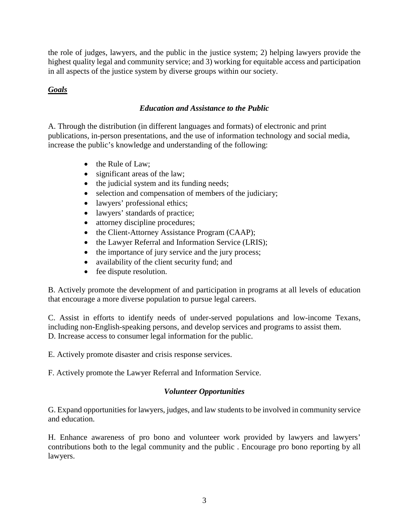the role of judges, lawyers, and the public in the justice system; 2) helping lawyers provide the highest quality legal and community service; and 3) working for equitable access and participation in all aspects of the justice system by diverse groups within our society.

## *Goals*

## *Education and Assistance to the Public*

A. Through the distribution (in different languages and formats) of electronic and print publications, in-person presentations, and the use of information technology and social media, increase the public's knowledge and understanding of the following:

- the Rule of Law:
- significant areas of the law;
- the judicial system and its funding needs;
- selection and compensation of members of the judiciary;
- lawyers' professional ethics;
- lawyers' standards of practice;
- attorney discipline procedures;
- the Client-Attorney Assistance Program (CAAP);
- the Lawyer Referral and Information Service (LRIS);
- the importance of jury service and the jury process;
- availability of the client security fund; and
- fee dispute resolution.

B. Actively promote the development of and participation in programs at all levels of education that encourage a more diverse population to pursue legal careers.

C. Assist in efforts to identify needs of under-served populations and low-income Texans, including non-English-speaking persons, and develop services and programs to assist them. D. Increase access to consumer legal information for the public.

E. Actively promote disaster and crisis response services.

F. Actively promote the Lawyer Referral and Information Service.

## *Volunteer Opportunities*

G. Expand opportunities for lawyers, judges, and law students to be involved in community service and education.

H. Enhance awareness of pro bono and volunteer work provided by lawyers and lawyers' contributions both to the legal community and the public . Encourage pro bono reporting by all lawyers.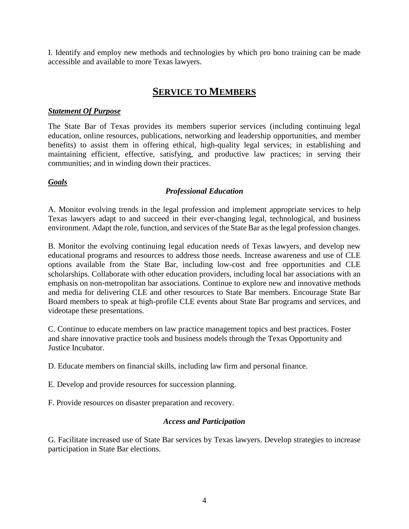I. Identify and employ new methods and technologies by which pro bono training can be made accessible and available to more Texas lawyers.

# **SERVICE TO MEMBERS**

#### *Statement Of Purpose*

The State Bar of Texas provides its members superior services (including continuing legal education, online resources, publications, networking and leadership opportunities, and member benefits) to assist them in offering ethical, high-quality legal services; in establishing and maintaining efficient, effective, satisfying, and productive law practices; in serving their communities; and in winding down their practices.

#### *Goals*

#### *Professional Education*

A. Monitor evolving trends in the legal profession and implement appropriate services to help Texas lawyers adapt to and succeed in their ever-changing legal, technological, and business environment. Adapt the role, function, and services of the State Bar as the legal profession changes.

B. Monitor the evolving continuing legal education needs of Texas lawyers, and develop new educational programs and resources to address those needs. Increase awareness and use of CLE options available from the State Bar, including low-cost and free opportunities and CLE scholarships. Collaborate with other education providers, including local bar associations with an emphasis on non-metropolitan bar associations. Continue to explore new and innovative methods and media for delivering CLE and other resources to State Bar members. Encourage State Bar Board members to speak at high-profile CLE events about State Bar programs and services, and videotape these presentations.

C. Continue to educate members on law practice management topics and best practices. Foster and share innovative practice tools and business models through the Texas Opportunity and Justice Incubator.

D. Educate members on financial skills, including law firm and personal finance.

E. Develop and provide resources for succession planning.

F. Provide resources on disaster preparation and recovery.

## *Access and Participation*

G. Facilitate increased use of State Bar services by Texas lawyers. Develop strategies to increase participation in State Bar elections.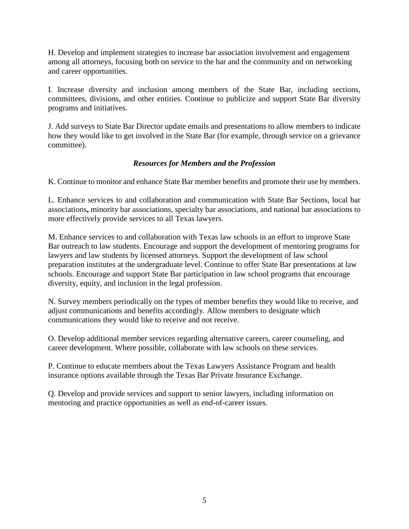H. Develop and implement strategies to increase bar association involvement and engagement among all attorneys, focusing both on service to the bar and the community and on networking and career opportunities.

I. Increase diversity and inclusion among members of the State Bar, including sections, committees, divisions, and other entities. Continue to publicize and support State Bar diversity programs and initiatives.

J. Add surveys to State Bar Director update emails and presentations to allow members to indicate how they would like to get involved in the State Bar (for example, through service on a grievance committee).

## *Resources for Members and the Profession*

K. Continue to monitor and enhance State Bar member benefits and promote their use by members.

L. Enhance services to and collaboration and communication with State Bar Sections, local bar associations**,** minority bar associations, specialty bar associations, and national bar associations to more effectively provide services to all Texas lawyers.

M. Enhance services to and collaboration with Texas law schools in an effort to improve State Bar outreach to law students. Encourage and support the development of mentoring programs for lawyers and law students by licensed attorneys. Support the development of law school preparation institutes at the undergraduate level. Continue to offer State Bar presentations at law schools. Encourage and support State Bar participation in law school programs that encourage diversity, equity, and inclusion in the legal profession.

N. Survey members periodically on the types of member benefits they would like to receive, and adjust communications and benefits accordingly. Allow members to designate which communications they would like to receive and not receive.

O. Develop additional member services regarding alternative careers, career counseling, and career development. Where possible, collaborate with law schools on these services.

P. Continue to educate members about the Texas Lawyers Assistance Program and health insurance options available through the Texas Bar Private Insurance Exchange.

Q. Develop and provide services and support to senior lawyers, including information on mentoring and practice opportunities as well as end-of-career issues.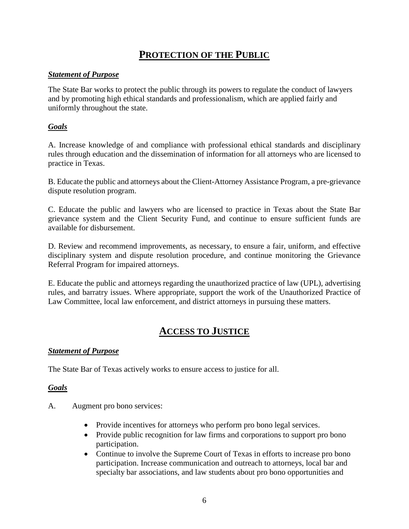# **PROTECTION OF THE PUBLIC**

#### *Statement of Purpose*

The State Bar works to protect the public through its powers to regulate the conduct of lawyers and by promoting high ethical standards and professionalism, which are applied fairly and uniformly throughout the state.

#### *Goals*

A. Increase knowledge of and compliance with professional ethical standards and disciplinary rules through education and the dissemination of information for all attorneys who are licensed to practice in Texas.

B. Educate the public and attorneys about the Client-Attorney Assistance Program, a pre-grievance dispute resolution program.

C. Educate the public and lawyers who are licensed to practice in Texas about the State Bar grievance system and the Client Security Fund, and continue to ensure sufficient funds are available for disbursement.

D. Review and recommend improvements, as necessary, to ensure a fair, uniform, and effective disciplinary system and dispute resolution procedure, and continue monitoring the Grievance Referral Program for impaired attorneys.

E. Educate the public and attorneys regarding the unauthorized practice of law (UPL), advertising rules, and barratry issues. Where appropriate, support the work of the Unauthorized Practice of Law Committee, local law enforcement, and district attorneys in pursuing these matters.

# **ACCESS TO JUSTICE**

#### *Statement of Purpose*

The State Bar of Texas actively works to ensure access to justice for all.

## *Goals*

- A. Augment pro bono services:
	- Provide incentives for attorneys who perform pro bono legal services.
	- Provide public recognition for law firms and corporations to support pro bono participation.
	- Continue to involve the Supreme Court of Texas in efforts to increase pro bono participation. Increase communication and outreach to attorneys, local bar and specialty bar associations, and law students about pro bono opportunities and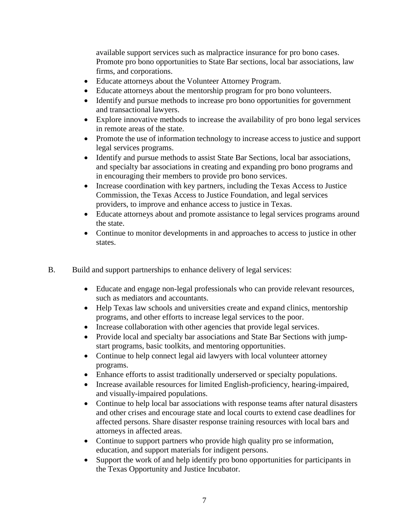available support services such as malpractice insurance for pro bono cases. Promote pro bono opportunities to State Bar sections, local bar associations, law firms, and corporations.

- Educate attorneys about the Volunteer Attorney Program.
- Educate attorneys about the mentorship program for pro bono volunteers.
- Identify and pursue methods to increase pro bono opportunities for government and transactional lawyers.
- Explore innovative methods to increase the availability of pro bono legal services in remote areas of the state.
- Promote the use of information technology to increase access to justice and support legal services programs.
- Identify and pursue methods to assist State Bar Sections, local bar associations, and specialty bar associations in creating and expanding pro bono programs and in encouraging their members to provide pro bono services.
- Increase coordination with key partners, including the Texas Access to Justice Commission, the Texas Access to Justice Foundation, and legal services providers, to improve and enhance access to justice in Texas.
- Educate attorneys about and promote assistance to legal services programs around the state.
- Continue to monitor developments in and approaches to access to justice in other states.
- B. Build and support partnerships to enhance delivery of legal services:
	- Educate and engage non-legal professionals who can provide relevant resources, such as mediators and accountants.
	- Help Texas law schools and universities create and expand clinics, mentorship programs, and other efforts to increase legal services to the poor.
	- Increase collaboration with other agencies that provide legal services.
	- Provide local and specialty bar associations and State Bar Sections with jumpstart programs, basic toolkits, and mentoring opportunities.
	- Continue to help connect legal aid lawyers with local volunteer attorney programs.
	- Enhance efforts to assist traditionally underserved or specialty populations.
	- Increase available resources for limited English-proficiency, hearing-impaired, and visually-impaired populations.
	- Continue to help local bar associations with response teams after natural disasters and other crises and encourage state and local courts to extend case deadlines for affected persons. Share disaster response training resources with local bars and attorneys in affected areas.
	- Continue to support partners who provide high quality pro se information, education, and support materials for indigent persons.
	- Support the work of and help identify pro bono opportunities for participants in the Texas Opportunity and Justice Incubator.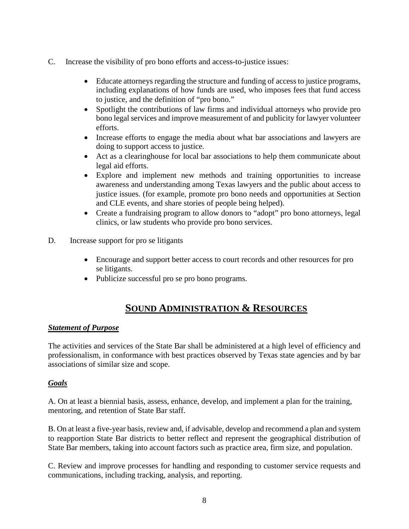- C. Increase the visibility of pro bono efforts and access-to-justice issues:
	- Educate attorneys regarding the structure and funding of access to justice programs, including explanations of how funds are used, who imposes fees that fund access to justice, and the definition of "pro bono."
	- Spotlight the contributions of law firms and individual attorneys who provide pro bono legal services and improve measurement of and publicity for lawyer volunteer efforts.
	- Increase efforts to engage the media about what bar associations and lawyers are doing to support access to justice.
	- Act as a clearinghouse for local bar associations to help them communicate about legal aid efforts.
	- Explore and implement new methods and training opportunities to increase awareness and understanding among Texas lawyers and the public about access to justice issues. (for example, promote pro bono needs and opportunities at Section and CLE events, and share stories of people being helped).
	- Create a fundraising program to allow donors to "adopt" pro bono attorneys, legal clinics, or law students who provide pro bono services.
- D. Increase support for pro se litigants
	- Encourage and support better access to court records and other resources for pro se litigants.
	- Publicize successful pro se pro bono programs.

## **SOUND ADMINISTRATION & RESOURCES**

#### *Statement of Purpose*

The activities and services of the State Bar shall be administered at a high level of efficiency and professionalism, in conformance with best practices observed by Texas state agencies and by bar associations of similar size and scope.

#### *Goals*

A. On at least a biennial basis, assess, enhance, develop, and implement a plan for the training, mentoring, and retention of State Bar staff.

B. On at least a five-year basis, review and, if advisable, develop and recommend a plan and system to reapportion State Bar districts to better reflect and represent the geographical distribution of State Bar members, taking into account factors such as practice area, firm size, and population.

C. Review and improve processes for handling and responding to customer service requests and communications, including tracking, analysis, and reporting.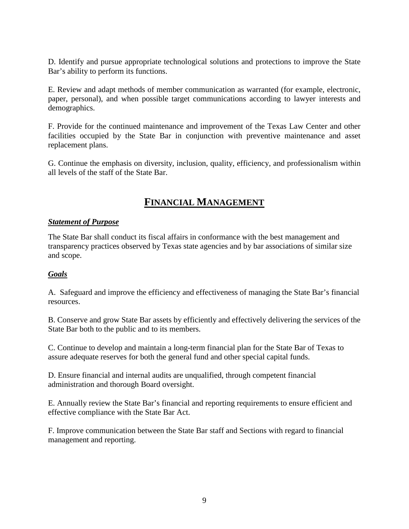D. Identify and pursue appropriate technological solutions and protections to improve the State Bar's ability to perform its functions.

E. Review and adapt methods of member communication as warranted (for example, electronic, paper, personal), and when possible target communications according to lawyer interests and demographics.

F. Provide for the continued maintenance and improvement of the Texas Law Center and other facilities occupied by the State Bar in conjunction with preventive maintenance and asset replacement plans.

G. Continue the emphasis on diversity, inclusion, quality, efficiency, and professionalism within all levels of the staff of the State Bar.

# **FINANCIAL MANAGEMENT**

#### *Statement of Purpose*

The State Bar shall conduct its fiscal affairs in conformance with the best management and transparency practices observed by Texas state agencies and by bar associations of similar size and scope.

## *Goals*

A. Safeguard and improve the efficiency and effectiveness of managing the State Bar's financial resources.

B. Conserve and grow State Bar assets by efficiently and effectively delivering the services of the State Bar both to the public and to its members.

C. Continue to develop and maintain a long-term financial plan for the State Bar of Texas to assure adequate reserves for both the general fund and other special capital funds.

D. Ensure financial and internal audits are unqualified, through competent financial administration and thorough Board oversight.

E. Annually review the State Bar's financial and reporting requirements to ensure efficient and effective compliance with the State Bar Act.

F. Improve communication between the State Bar staff and Sections with regard to financial management and reporting.